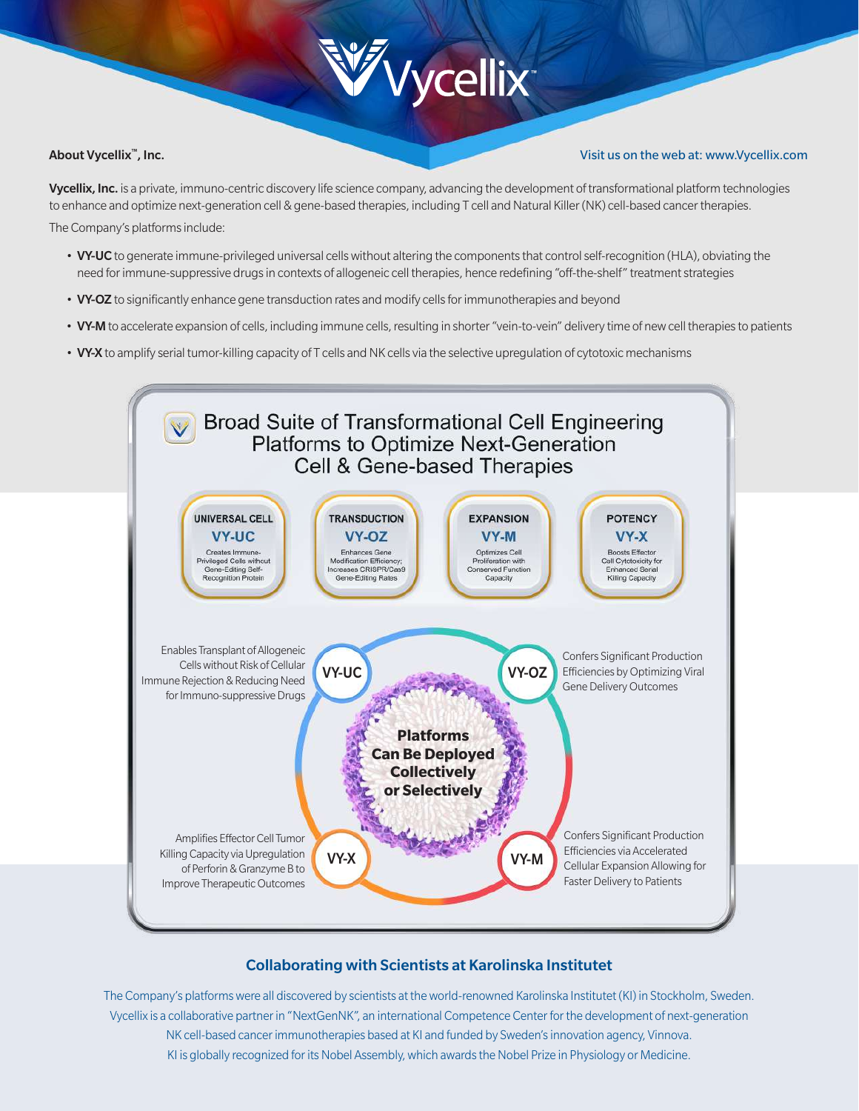# **W**ycellix

## About Vycellix™, Inc.

### Visit us on the web at: www.Vycellix.com

Vycellix, Inc. is a private, immuno-centric discovery life science company, advancing the development of transformational platform technologies to enhance and optimize next-generation cell & gene-based therapies, including T cell and Natural Killer (NK) cell-based cancer therapies. The Company's platforms include:

- VY-UC to generate immune-privileged universal cells without altering the components that control self-recognition (HLA), obviating the need for immune-suppressive drugs in contexts of allogeneic cell therapies, hence redefining "off-the-shelf" treatment strategies
- VY-OZ to significantly enhance gene transduction rates and modify cells for immunotherapies and beyond
- VY-M to accelerate expansion of cells, including immune cells, resulting in shorter "vein-to-vein" delivery time of new cell therapies to patients
- VY-X to amplify serial tumor-killing capacity of T cells and NK cells via the selective upregulation of cytotoxic mechanisms



## Collaborating with Scientists at Karolinska Institutet

The Company's platforms were all discovered by scientists at the world-renowned Karolinska Institutet (KI) in Stockholm, Sweden. Vycellix is a collaborative partner in "NextGenNK", an international Competence Center for the development of next-generation NK cell-based cancer immunotherapies based at KI and funded by Sweden's innovation agency, Vinnova. KI is globally recognized for its Nobel Assembly, which awards the Nobel Prize in Physiology or Medicine.